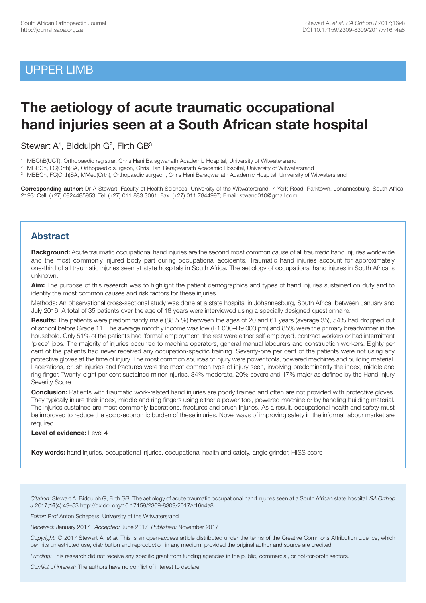## UPPER LIMB

# **The aetiology of acute traumatic occupational hand injuries seen at a South African state hospital**

Stewart  $A<sup>1</sup>$ , Biddulph  $G<sup>2</sup>$ , Firth  $GB<sup>3</sup>$ 

- 1 MBChB(UCT), Orthopaedic registrar, Chris Hani Baragwanath Academic Hospital, University of Witwatersrand
- 2 MBBCh, FC(Orth)SA, Orthopaedic surgeon, Chris Hani Baragwanath Academic Hospital, University of Witwatersrand

3 MBBCh, FC(Orth)SA, MMed(Orth), Orthopaedic surgeon, Chris Hani Baragwanath Academic Hospital, University of Witwatersrand

**Corresponding author:** Dr A Stewart, Faculty of Health Sciences, University of the Witwatersrand, 7 York Road, Parktown, Johannesburg, South Africa, 2193: Cell: (+27) 0824485953; Tel: (+27) 011 883 3061; Fax: (+27) 011 7844997; Email: stwand010@gmail.com

### **Abstract**

**Background:** Acute traumatic occupational hand injuries are the second most common cause of all traumatic hand injuries worldwide and the most commonly injured body part during occupational accidents. Traumatic hand injuries account for approximately one-third of all traumatic injuries seen at state hospitals in South Africa. The aetiology of occupational hand injures in South Africa is unknown.

**Aim:** The purpose of this research was to highlight the patient demographics and types of hand injuries sustained on duty and to identify the most common causes and risk factors for these injuries.

Methods: An observational cross-sectional study was done at a state hospital in Johannesburg, South Africa, between January and July 2016. A total of 35 patients over the age of 18 years were interviewed using a specially designed questionnaire.

**Results:** The patients were predominantly male (88.5 %) between the ages of 20 and 61 years (average 35), 54% had dropped out of school before Grade 11. The average monthly income was low (R1 000–R9 000 pm) and 85% were the primary breadwinner in the household. Only 51% of the patients had 'formal' employment, the rest were either self-employed, contract workers or had intermittent 'piece' jobs. The majority of injuries occurred to machine operators, general manual labourers and construction workers. Eighty per cent of the patients had never received any occupation-specific training. Seventy-one per cent of the patients were not using any protective gloves at the time of injury. The most common sources of injury were power tools, powered machines and building material. Lacerations, crush injuries and fractures were the most common type of injury seen, involving predominantly the index, middle and ring finger. Twenty-eight per cent sustained minor injuries, 34% moderate, 20% severe and 17% major as defined by the Hand Injury Severity Score.

**Conclusion:** Patients with traumatic work-related hand injuries are poorly trained and often are not provided with protective gloves. They typically injure their index, middle and ring fingers using either a power tool, powered machine or by handling building material. The injuries sustained are most commonly lacerations, fractures and crush injuries. As a result, occupational health and safety must be improved to reduce the socio-economic burden of these injuries. Novel ways of improving safety in the informal labour market are required.

#### **Level of evidence:** Level 4

**Key words:** hand injuries, occupational injuries, occupational health and safety, angle grinder, HISS score

*Citation:* Stewart A, Biddulph G, Firth GB. The aetiology of acute traumatic occupational hand injuries seen at a South African state hospital. *SA Orthop J* 2017;**16**(4):49–53 http://dx.doi.org/10.17159/2309-8309/2017/v16n4a8

*Editor:* Prof Anton Schepers, University of the Witwatersrand

*Received:* January 2017 *Accepted:* June 2017 *Published:* November 2017

*Copyright:* © 2017 Stewart A, *et al.* This is an open-access article distributed under the terms of the Creative Commons Attribution Licence, which permits unrestricted use, distribution and reproduction in any medium, provided the original author and source are credited.

*Funding:* This research did not receive any specific grant from funding agencies in the public, commercial, or not-for-profit sectors.

*Conflict of interest:* The authors have no conflict of interest to declare.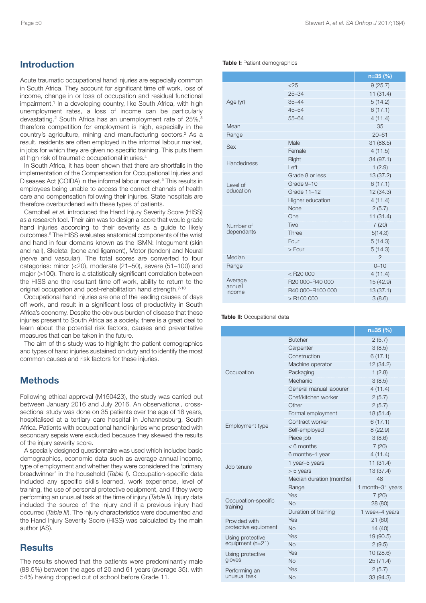#### Page 50 Stewart A, *et al. SA Orthop J* 2017;16(4)

### **Introduction**

Acute traumatic occupational hand injuries are especially common in South Africa. They account for significant time off work, loss of income, change in or loss of occupation and residual functional impairment. <sup>1</sup> In a developing country, like South Africa, with high unemployment rates, a loss of income can be particularly devastating. <sup>2</sup> South Africa has an unemployment rate of 25%, 3 therefore competition for employment is high, especially in the country's agriculture, mining and manufacturing sectors. <sup>2</sup> As a result, residents are often employed in the informal labour market, in jobs for which they are given no specific training. This puts them at high risk of traumatic occupational injuries. 4

In South Africa, it has been shown that there are shortfalls in the implementation of the Compensation for Occupational Injuries and Diseases Act (COIDA) in the informal labour market. <sup>5</sup> This results in employees being unable to access the correct channels of health care and compensation following their injuries. State hospitals are therefore overburdened with these types of patients.

Campbell *et al.* introduced the Hand Injury Severity Score (HISS) as a research tool. Their aim was to design a score that would grade hand injuries according to their severity as a guide to likely outcomes. <sup>6</sup> The HISS evaluates anatomical components of the wrist and hand in four domains known as the ISMN: Integument (skin and nail), Skeletal (bone and ligament), Motor (tendon) and Neural (nerve and vascular). The total scores are converted to four categories: minor (<20), moderate (21–50), severe (51–100) and major (>100). There is a statistically significant correlation between the HISS and the resultant time off work, ability to return to the original occupation and post-rehabilitation hand strength. 7-10

Occupational hand injuries are one of the leading causes of days off work, and result in a significant loss of productivity in South Africa's economy. Despite the obvious burden of disease that these injuries present to South Africa as a society, there is a great deal to learn about the potential risk factors, causes and preventative measures that can be taken in the future.

The aim of this study was to highlight the patient demographics and types of hand injuries sustained on duty and to identify the most common causes and risk factors for these injuries.

### **Methods**

Following ethical approval (M150423), the study was carried out between January 2016 and July 2016. An observational, crosssectional study was done on 35 patients over the age of 18 years, hospitalised at a tertiary care hospital in Johannesburg, South Africa. Patients with occupational hand injuries who presented with secondary sepsis were excluded because they skewed the results of the injury severity score.

A specially designed questionnaire was used which included basic demographics, economic data such as average annual income, type of employment and whether they were considered the 'primary breadwinner' in the household (*Table I*). Occupation-specific data included any specific skills learned, work experience, level of training, the use of personal protective equipment, and if they were performing an unusual task at the time of injury (*Table II*). Injury data included the source of the injury and if a previous injury had occurred (*Table III*). The injury characteristics were documented and the Hand Injury Severity Score (HISS) was calculated by the main author (AS).

### **Results**

The results showed that the patients were predominantly male (88.5%) between the ages of 20 and 61 years (average 35), with 54% having dropped out of school before Grade 11.

#### **Table I:** Patient demographics

|                             |                  | $n=35$ (%)     |
|-----------------------------|------------------|----------------|
| Age (yr)                    | $<$ 25           | 9(25.7)        |
|                             | $25 - 34$        | 11(31.4)       |
|                             | $35 - 44$        | 5(14.2)        |
|                             | $45 - 54$        | 6(17.1)        |
|                             | $55 - 64$        | 4(11.4)        |
| Mean                        |                  | 35             |
| Range                       |                  | $20 - 61$      |
| <b>Sex</b>                  | Male             | 31 (88.5)      |
|                             | Female           | 4(11.5)        |
| <b>Handedness</b>           | Right            | 34 (97.1)      |
|                             | Left             | 1(2.9)         |
|                             | Grade 8 or less  | 13 (37.2)      |
| Level of                    | Grade 9-10       | 6(17.1)        |
| education                   | Grade 11-12      | 12(34.3)       |
|                             | Higher education | 4(11.4)        |
|                             | None             | 2(5.7)         |
| Number of<br>dependants     | One              | 11(31.4)       |
|                             | Two              | 7(20)          |
|                             | Three            | 5(14.3)        |
|                             | Four             | 5(14.3)        |
|                             | $>$ Four         | 5(14.3)        |
| Median                      |                  | $\overline{2}$ |
| Range                       |                  | $0 - 10$       |
| Average<br>annual<br>income | $<$ R20 000      | 4(11.4)        |
|                             | R20 000-R40 000  | 15 (42.9)      |
|                             | R40 000-R100 000 | 13(37.1)       |
|                             | $>$ R100 000     | 3(8.6)         |

**Table II:** Occupational data

|                                       |                          | $n=35$ (%)       |
|---------------------------------------|--------------------------|------------------|
| Occupation                            | <b>Butcher</b>           | 2(5.7)           |
|                                       | Carpenter                | 3(8.5)           |
|                                       | Construction             | 6(17.1)          |
|                                       | Machine operator         | 12 (34.2)        |
|                                       | Packaging                | 1(2.8)           |
|                                       | Mechanic                 | 3(8.5)           |
|                                       | General manual labourer  | 4(11.4)          |
|                                       | Chef/kitchen worker      | 2(5.7)           |
|                                       | Other                    | 2(5.7)           |
| Employment type                       | Formal employment        | 18(51.4)         |
|                                       | Contract worker          | 6(17.1)          |
|                                       | Self-employed            | 8(22.9)          |
|                                       | Piece job                | 3(8.6)           |
|                                       | $<$ 6 months             | 7(20)            |
| Job tenure                            | 6 months-1 year          | 4(11.4)          |
|                                       | 1 year-5 years           | 11(31.4)         |
|                                       | $> 5$ years              | 13 (37.4)        |
|                                       | Median duration (months) | 48               |
|                                       | Range                    | 1 month-31 years |
| Occupation-specific<br>training       | Yes                      | 7(20)            |
|                                       | <b>No</b>                | 28 (80)          |
|                                       | Duration of training     | 1 week-4 years   |
| Provided with<br>protective equipment | Yes                      | 21(60)           |
|                                       | <b>No</b>                | 14(40)           |
| Using protective<br>equipment (n=21)  | Yes                      | 19 (90.5)        |
|                                       | <b>No</b>                | 2(9.5)           |
| Using protective<br>gloves            | Yes                      | 10(28.6)         |
|                                       | <b>No</b>                | 25(71.4)         |
| Performing an<br>unusual task         | Yes                      | 2(5.7)           |
|                                       | <b>No</b>                | 33 (94.3)        |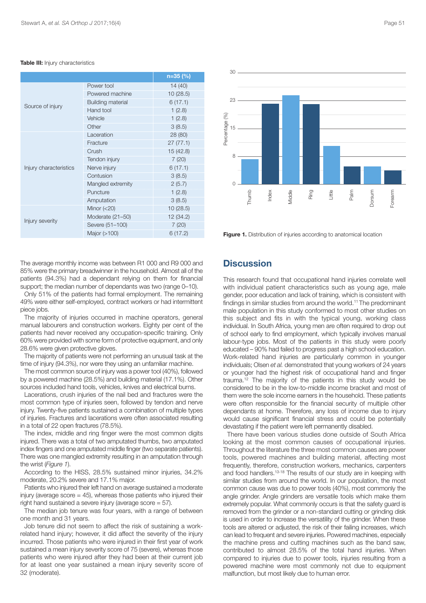#### **Table III:** Injury characteristics

|                        |                          | $n=35$ (%) |
|------------------------|--------------------------|------------|
| Source of injury       | Power tool               | 14 (40)    |
|                        | Powered machine          | 10(28.5)   |
|                        | <b>Building material</b> | 6(17.1)    |
|                        | Hand tool                | 1(2.8)     |
|                        | Vehicle                  | 1(2.8)     |
|                        | Other                    | 3(8.5)     |
| Injury characteristics | Laceration               | 28 (80)    |
|                        | Fracture                 | 27(77.1)   |
|                        | Crush                    | 15 (42.8)  |
|                        | Tendon injury            | 7(20)      |
|                        | Nerve injury             | 6(17.1)    |
|                        | Contusion                | 3(8.5)     |
|                        | Mangled extremity        | 2(5.7)     |
|                        | Puncture                 | 1(2.8)     |
|                        | Amputation               | 3(8.5)     |
| Injury severity        | Minor $(<20)$            | 10(28.5)   |
|                        | Moderate (21-50)         | 12 (34.2)  |
|                        | Severe (51-100)          | 7(20)      |
|                        | Major (>100)             | 6(17.2)    |



**Figure 1.** Distribution of injuries according to anatomical location

The average monthly income was between R1 000 and R9 000 and 85% were the primary breadwinner in the household. Almost all of the patients (94.3%) had a dependant relying on them for financial support; the median number of dependants was two (range 0–10).

Only 51% of the patients had formal employment. The remaining 49% were either self-employed, contract workers or had intermittent piece jobs.

The majority of injuries occurred in machine operators, general manual labourers and construction workers. Eighty per cent of the patients had never received any occupation-specific training. Only 60% were provided with some form of protective equipment, and only 28.6% were given protective gloves.

The majority of patients were not performing an unusual task at the time of injury (94.3%), nor were they using an unfamiliar machine.

The most common source of injury was a power tool (40%), followed by a powered machine (28.5%) and building material (17.1%). Other sources included hand tools, vehicles, knives and electrical burns.

Lacerations, crush injuries of the nail bed and fractures were the most common type of injuries seen, followed by tendon and nerve injury. Twenty-five patients sustained a combination of multiple types of injuries. Fractures and lacerations were often associated resulting in a total of 22 open fractures (78.5%).

The index, middle and ring finger were the most common digits injured. There was a total of two amputated thumbs, two amputated index fingers and one amputated middle finger (two separate patients). There was one mangled extremity resulting in an amputation through the wrist (*Figure 1*).

According to the HISS, 28.5% sustained minor injuries, 34.2% moderate, 20.2% severe and 17.1% major.

Patients who injured their left hand on average sustained a moderate injury (average score  $= 45$ ), whereas those patients who injured their right hand sustained a severe injury (average score = 57).

The median job tenure was four years, with a range of between one month and 31 years.

Job tenure did not seem to affect the risk of sustaining a workrelated hand injury; however, it did affect the severity of the injury incurred. Those patients who were injured in their first year of work sustained a mean injury severity score of 75 (severe), whereas those patients who were injured after they had been at their current job for at least one year sustained a mean injury severity score of 32 (moderate).

### **Discussion**

This research found that occupational hand injuries correlate well with individual patient characteristics such as young age, male gender, poor education and lack of training, which is consistent with findings in similar studies from around the world. <sup>11</sup> The predominant male population in this study conformed to most other studies on this subject and fits in with the typical young, working class individual. In South Africa, young men are often required to drop out of school early to find employment, which typically involves manual labour-type jobs. Most of the patients in this study were poorly educated – 90% had failed to progress past a high school education. Work-related hand injuries are particularly common in younger individuals; Olsen *et al.* demonstrated that young workers of 24 years or younger had the highest risk of occupational hand and finger trauma. <sup>12</sup> The majority of the patients in this study would be considered to be in the low-to-middle income bracket and most of them were the sole income earners in the household. These patients were often responsible for the financial security of multiple other dependants at home. Therefore, any loss of income due to injury would cause significant financial stress and could be potentially devastating if the patient were left permanently disabled.

There have been various studies done outside of South Africa looking at the most common causes of occupational injuries. Throughout the literature the three most common causes are power tools, powered machines and building material, affecting most frequently, therefore, construction workers, mechanics, carpenters and food handlers. 13-18 The results of our study are in keeping with similar studies from around the world. In our population, the most common cause was due to power tools (40%), most commonly the angle grinder. Angle grinders are versatile tools which make them extremely popular. What commonly occurs is that the safety guard is removed from the grinder or a non-standard cutting or grinding disk is used in order to increase the versatility of the grinder. When these tools are altered or adjusted, the risk of their failing increases, which can lead to frequent and severe injuries. Powered machines, especially the machine press and cutting machines such as the band saw, contributed to almost 28.5% of the total hand injuries. When compared to injuries due to power tools, injuries resulting from a powered machine were most commonly not due to equipment malfunction, but most likely due to human error.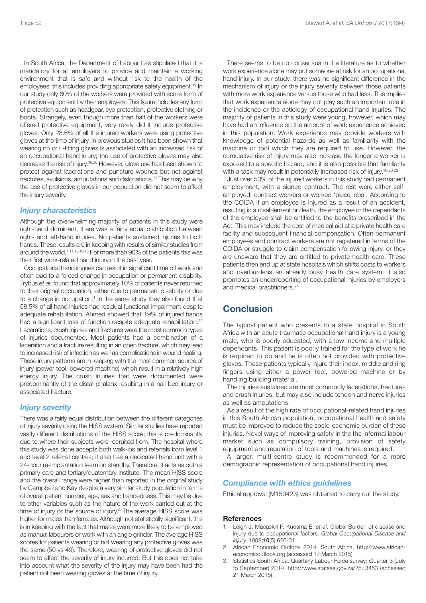In South Africa, the Department of Labour has stipulated that it is mandatory for all employers to provide and maintain a working environment that is safe and without risk to the health of the employees; this includes providing appropriate safety equipment. <sup>19</sup> In our study only 60% of the workers were provided with some form of protective equipment by their employers. This figure includes any form of protection such as headgear, eye protection, protective clothing or boots. Strangely, even though more than half of the workers were offered protective equipment, very rarely did it include protective gloves. Only 28.6% of all the injured workers were using protective gloves at the time of injury. In previous studies it has been shown that wearing no or ill-fitting gloves is associated with an increased risk of an occupational hand injury; the use of protective gloves may also decrease the risk of injury. 16,20 However, glove use has been shown to protect against lacerations and puncture wounds but not against fractures, avulsions, amputations and dislocations. <sup>21</sup> This may be why the use of protective gloves in our population did not seem to affect the injury severity.

#### *Injury characteristics*

Although the overwhelming majority of patients in this study were right-hand dominant, there was a fairly equal distribution between right- and left-hand injuries. No patients sustained injuries to both hands. These results are in keeping with results of similar studies from around the world. 4,11,13,16,18 For more than 90% of the patients this was their first work-related hand injury in the past year.

Occupational hand injuries can result in significant time off work and often lead to a forced change in occupation or permanent disability. Trybus *et al.* found that approximately 10% of patients never returned to their original occupation, either due to permanent disability or due to a change in occupation. <sup>4</sup> In the same study they also found that 58.5% of all hand injuries had residual functional impairment despite adequate rehabilitation. Ahmed showed that 19% of injured hands had a significant loss of function despite adequate rehabilitation.<sup>22</sup> Lacerations, crush injuries and fractures were the most common types of injuries documented. Most patients had a combination of a laceration and a fracture resulting in an open fracture, which may lead to increased risk of infection as well as complications in wound healing. These injury patterns are in keeping with the most common source of injury (power tool, powered machine) which result in a relatively high energy injury. The crush injuries that were documented were predominantly of the distal phalanx resulting in a nail bed injury or associated fracture.

### *Injury severity*

There was a fairly equal distribution between the different categories of injury severity using the HISS system. Similar studies have reported vastly different distributions of the HISS score; this is predominantly due to where their subjects were recruited from. The hospital where this study was done accepts both walk-ins and referrals from level 1 and level 2 referral centres; it also has a dedicated hand unit with a 24-hour re-implantation team on standby. Therefore, it acts as both a primary care and tertiary/quaternary institute. The mean HISS score and the overall range were higher than reported in the original study by Campbell and Kay despite a very similar study population in terms of overall patient number, age, sex and handedness. This may be due to other variables such as the nature of the work carried out at the time of injury or the source of injury. <sup>6</sup> The average HISS score was higher for males than females. Although not statistically significant, this is in keeping with the fact that males were more likely to be employed as manual labourers or work with an angle grinder. The average HISS scores for patients wearing or not wearing any protective gloves was the same (50 vs 49). Therefore, wearing of protective gloves did not seem to affect the severity of injury incurred. But this does not take into account what the severity of the injury may have been had the patient not been wearing gloves at the time of injury.

There seems to be no consensus in the literature as to whether work experience alone may put someone at risk for an occupational hand injury. In our study, there was no significant difference in the mechanism of injury or the injury severity between those patients with more work experience versus those who had less. This implies that work experience alone may not play such an important role in the incidence or the aetiology of occupational hand injuries. The majority of patients in this study were young, however, which may have had an influence on the amount of work experience achieved in this population. Work experience may provide workers with knowledge of potential hazards as well as familiarity with the machine or tool which they are required to use. However, the cumulative risk of injury may also increase the longer a worker is exposed to a specific hazard, and it is also possible that familiarity with a task may result in potentially increased risk of injury.<sup>16,20,23</sup>

Just over 50% of the injured workers in this study had permanent employment, with a signed contract. The rest were either selfemployed, contract workers or worked 'piece jobs'. According to the COIDA if an employee is injured as a result of an accident, resulting in a disablement or death, the employee or the dependants of the employee shall be entitled to the benefits prescribed in the Act. This may include the cost of medical aid at a private health care facility and subsequent financial compensation. Often permanent employees and contract workers are not registered in terms of the COIDA or struggle to claim compensation following injury, or they are unaware that they are entitled to private health care. These patients then end up at state hospitals which shifts costs to workers and overburdens an already busy health care system. It also promotes an underreporting of occupational injuries by employers and medical practitioners. 24

### **Conclusion**

The typical patient who presents to a state hospital in South Africa with an acute traumatic occupational hand injury is a young male, who is poorly educated, with a low income and multiple dependants. This patient is poorly trained for the type of work he is required to do and he is often not provided with protective gloves. These patients typically injure their index, middle and ring fingers using either a power tool, powered machine or by handling building material.

The injuries sustained are most commonly lacerations, fractures and crush injuries, but may also include tendon and nerve injuries as well as amputations.

As a result of the high rate of occupational-related hand injuries in this South African population, occupational health and safety must be improved to reduce the socio-economic burden of these injuries. Novel ways of improving safety in the the informal labour market such as compulsory training, provision of safety equipment and regulation of tools and machines is required.

A larger, multi-centre study is recommended for a more demographic representation of occupational hand injuries.

### *Compliance with ethics guidelines*

Ethical approval (M150423) was obtained to carry out the study.

#### **References**

- 1. Leigh J, Macaskill P, Kuosma E, *et al*. Global Burden of disease and injury due to occupational factors. *Global Occupational Disease and Injury.* 1999;**10**(5):626-31.
- 2. African Economic Outlook 2014. South Africa. http://www.africaneconomicoutlook.org (accessed 17 March 2015)
- 3. Statistics South Africa. Quarterly Labour Force survey: Quarter 3 (July to September) 2014. http://www.statssa.gov.za/?p=3453 (accessed 21 March 2015).